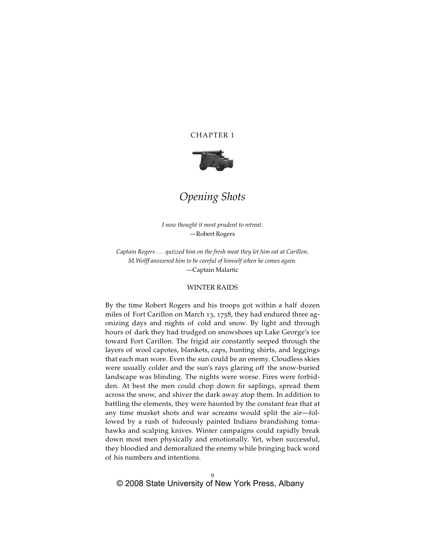#### CHAPTER 1





*I now thought it most prudent to retreat.* —Robert Rogers

*Captain Rogers . . . quizzed him on the fresh meat they let him eat at Carillon. M.Wolff answered him to be careful of himself when he comes again.* —Captain Malartic

# WINTER RAIDS

By the time Robert Rogers and his troops got within a half dozen miles of Fort Carillon on March 13, 1758, they had endured three agonizing days and nights of cold and snow. By light and through hours of dark they had trudged on snowshoes up Lake George's ice toward Fort Carillon. The frigid air constantly seeped through the layers of wool capotes, blankets, caps, hunting shirts, and leggings that each man wore. Even the sun could be an enemy. Cloudless skies were usually colder and the sun's rays glaring off the snow-buried landscape was blinding. The nights were worse. Fires were forbidden. At best the men could chop down fir saplings, spread them across the snow, and shiver the dark away atop them. In addition to battling the elements, they were haunted by the constant fear that at any time musket shots and war screams would split the air—followed by a rush of hideously painted Indians brandishing tomahawks and scalping knives. Winter campaigns could rapidly break down most men physically and emotionally. Yet, when successful, they bloodied and demoralized the enemy while bringing back word of his numbers and intentions.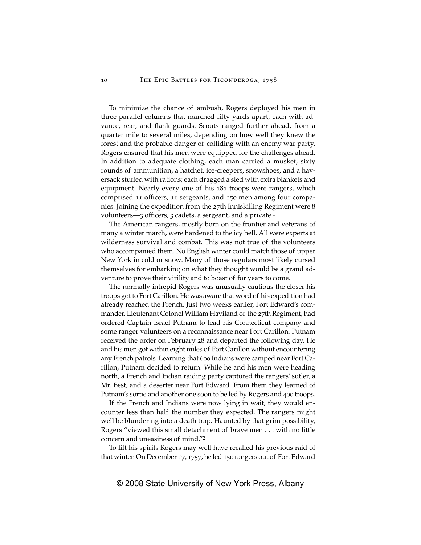To minimize the chance of ambush, Rogers deployed his men in three parallel columns that marched fifty yards apart, each with advance, rear, and flank guards. Scouts ranged further ahead, from a quarter mile to several miles, depending on how well they knew the forest and the probable danger of colliding with an enemy war party. Rogers ensured that his men were equipped for the challenges ahead. In addition to adequate clothing, each man carried a musket, sixty rounds of ammunition, a hatchet, ice-creepers, snowshoes, and a haversack stuffed with rations; each dragged a sled with extra blankets and equipment. Nearly every one of his 181 troops were rangers, which comprised 11 officers, 11 sergeants, and 150 men among four companies. Joining the expedition from the 27th Inniskilling Regiment were 8 volunteers—3 officers, 3 cadets, a sergeant, and a private.<sup>1</sup>

The American rangers, mostly born on the frontier and veterans of many a winter march, were hardened to the icy hell. All were experts at wilderness survival and combat. This was not true of the volunteers who accompanied them. No English winter could match those of upper New York in cold or snow. Many of those regulars most likely cursed themselves for embarking on what they thought would be a grand adventure to prove their virility and to boast of for years to come.

The normally intrepid Rogers was unusually cautious the closer his troops got to Fort Carillon. He was aware that word of his expedition had already reached the French. Just two weeks earlier, Fort Edward's commander, Lieutenant Colonel William Haviland of the 27th Regiment, had ordered Captain Israel Putnam to lead his Connecticut company and some ranger volunteers on a reconnaissance near Fort Carillon. Putnam received the order on February 28 and departed the following day. He and his men got within eight miles of Fort Carillon without encountering any French patrols. Learning that 600 Indians were camped near Fort Carillon, Putnam decided to return. While he and his men were heading north, a French and Indian raiding party captured the rangers' sutler, a Mr. Best, and a deserter near Fort Edward. From them they learned of Putnam's sortie and another one soon to be led by Rogers and 400 troops.

If the French and Indians were now lying in wait, they would encounter less than half the number they expected. The rangers might well be blundering into a death trap. Haunted by that grim possibility, Rogers "viewed this small detachment of brave men . . . with no little concern and uneasiness of mind."<sup>2</sup>

To lift his spirits Rogers may well have recalled his previous raid of that winter. On December 17, 1757, he led 150 rangers out of Fort Edward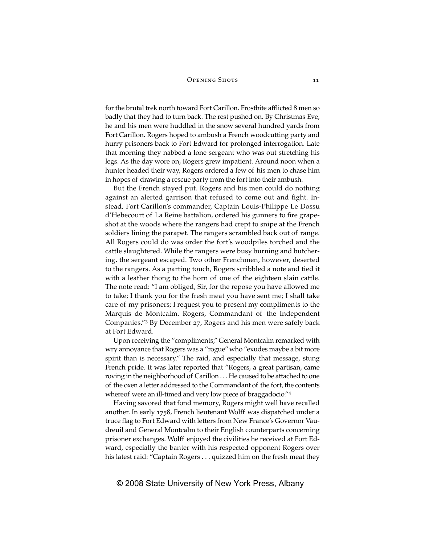for the brutal trek north toward Fort Carillon. Frostbite afflicted 8 men so badly that they had to turn back. The rest pushed on. By Christmas Eve, he and his men were huddled in the snow several hundred yards from Fort Carillon. Rogers hoped to ambush a French woodcutting party and hurry prisoners back to Fort Edward for prolonged interrogation. Late that morning they nabbed a lone sergeant who was out stretching his legs. As the day wore on, Rogers grew impatient. Around noon when a hunter headed their way, Rogers ordered a few of his men to chase him in hopes of drawing a rescue party from the fort into their ambush.

But the French stayed put. Rogers and his men could do nothing against an alerted garrison that refused to come out and fight. Instead, Fort Carillon's commander, Captain Louis-Philippe Le Dossu d'Hebecourt of La Reine battalion, ordered his gunners to fire grapeshot at the woods where the rangers had crept to snipe at the French soldiers lining the parapet. The rangers scrambled back out of range. All Rogers could do was order the fort's woodpiles torched and the cattle slaughtered. While the rangers were busy burning and butchering, the sergeant escaped. Two other Frenchmen, however, deserted to the rangers. As a parting touch, Rogers scribbled a note and tied it with a leather thong to the horn of one of the eighteen slain cattle. The note read: "I am obliged, Sir, for the repose you have allowed me to take; I thank you for the fresh meat you have sent me; I shall take care of my prisoners; I request you to present my compliments to the Marquis de Montcalm. Rogers, Commandant of the Independent Companies."<sup>3</sup> By December 27, Rogers and his men were safely back at Fort Edward.

Upon receiving the "compliments," General Montcalm remarked with wry annoyance that Rogers was a "rogue" who "exudes maybe a bit more spirit than is necessary." The raid, and especially that message, stung French pride. It was later reported that "Rogers, a great partisan, came roving in the neighborhood of Carillon . . . He caused to be attached to one of the oxen a letter addressed to the Commandant of the fort, the contents whereof were an ill-timed and very low piece of braggadocio."<sup>4</sup>

Having savored that fond memory, Rogers might well have recalled another. In early 1758, French lieutenant Wolff was dispatched under a truce flag to Fort Edward with letters from New France's Governor Vaudreuil and General Montcalm to their English counterparts concerning prisoner exchanges. Wolff enjoyed the civilities he received at Fort Edward, especially the banter with his respected opponent Rogers over his latest raid: "Captain Rogers . . . quizzed him on the fresh meat they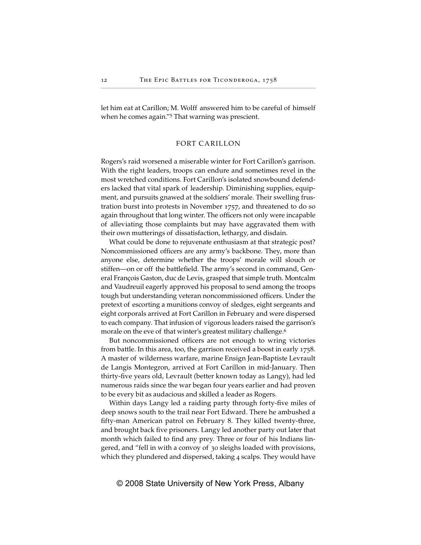let him eat at Carillon; M. Wolff answered him to be careful of himself when he comes again."<sup>5</sup> That warning was prescient.

# FORT CARILLON

Rogers's raid worsened a miserable winter for Fort Carillon's garrison. With the right leaders, troops can endure and sometimes revel in the most wretched conditions. Fort Carillon's isolated snowbound defenders lacked that vital spark of leadership. Diminishing supplies, equipment, and pursuits gnawed at the soldiers' morale. Their swelling frustration burst into protests in November 1757, and threatened to do so again throughout that long winter. The officers not only were incapable of alleviating those complaints but may have aggravated them with their own mutterings of dissatisfaction, lethargy, and disdain.

What could be done to rejuvenate enthusiasm at that strategic post? Noncommissioned officers are any army's backbone. They, more than anyone else, determine whether the troops' morale will slouch or stiffen—on or off the battlefield. The army's second in command, General François Gaston, duc de Levis, grasped that simple truth. Montcalm and Vaudreuil eagerly approved his proposal to send among the troops tough but understanding veteran noncommissioned officers. Under the pretext of escorting a munitions convoy of sledges, eight sergeants and eight corporals arrived at Fort Carillon in February and were dispersed to each company. That infusion of vigorous leaders raised the garrison's morale on the eve of that winter's greatest military challenge.<sup>6</sup>

But noncommissioned officers are not enough to wring victories from battle. In this area, too, the garrison received a boost in early 1758. A master of wilderness warfare, marine Ensign Jean-Baptiste Levrault de Langis Montegron, arrived at Fort Carillon in mid-January. Then thirty-five years old, Levrault (better known today as Langy), had led numerous raids since the war began four years earlier and had proven to be every bit as audacious and skilled a leader as Rogers.

Within days Langy led a raiding party through forty-five miles of deep snows south to the trail near Fort Edward. There he ambushed a fifty-man American patrol on February 8. They killed twenty-three, and brought back five prisoners. Langy led another party out later that month which failed to find any prey. Three or four of his Indians lingered, and "fell in with a convoy of 30 sleighs loaded with provisions, which they plundered and dispersed, taking 4 scalps. They would have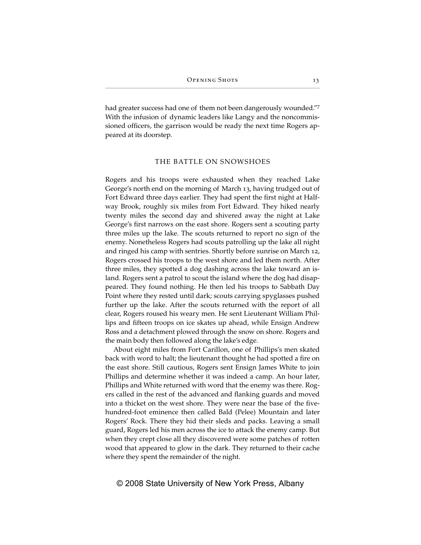had greater success had one of them not been dangerously wounded."7 With the infusion of dynamic leaders like Langy and the noncommissioned officers, the garrison would be ready the next time Rogers appeared at its doorstep.

# THE BATTLE ON SNOWSHOES

Rogers and his troops were exhausted when they reached Lake George's north end on the morning of March 13, having trudged out of Fort Edward three days earlier. They had spent the first night at Halfway Brook, roughly six miles from Fort Edward. They hiked nearly twenty miles the second day and shivered away the night at Lake George's first narrows on the east shore. Rogers sent a scouting party three miles up the lake. The scouts returned to report no sign of the enemy. Nonetheless Rogers had scouts patrolling up the lake all night and ringed his camp with sentries. Shortly before sunrise on March 12, Rogers crossed his troops to the west shore and led them north. After three miles, they spotted a dog dashing across the lake toward an island. Rogers sent a patrol to scout the island where the dog had disappeared. They found nothing. He then led his troops to Sabbath Day Point where they rested until dark; scouts carrying spyglasses pushed further up the lake. After the scouts returned with the report of all clear, Rogers roused his weary men. He sent Lieutenant William Phillips and fifteen troops on ice skates up ahead, while Ensign Andrew Ross and a detachment plowed through the snow on shore. Rogers and the main body then followed along the lake's edge.

About eight miles from Fort Carillon, one of Phillips's men skated back with word to halt; the lieutenant thought he had spotted a fire on the east shore. Still cautious, Rogers sent Ensign James White to join Phillips and determine whether it was indeed a camp. An hour later, Phillips and White returned with word that the enemy was there. Rogers called in the rest of the advanced and flanking guards and moved into a thicket on the west shore. They were near the base of the fivehundred-foot eminence then called Bald (Pelee) Mountain and later Rogers' Rock. There they hid their sleds and packs. Leaving a small guard, Rogers led his men across the ice to attack the enemy camp. But when they crept close all they discovered were some patches of rotten wood that appeared to glow in the dark. They returned to their cache where they spent the remainder of the night.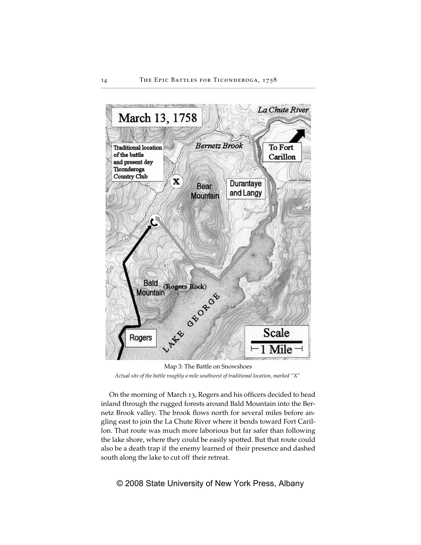

Map 3: The Battle on Snowshoes *Actual site of the battle roughly a mile southwest of traditional location, marked "X"* 

On the morning of March 13, Rogers and his officers decided to head inland through the rugged forests around Bald Mountain into the Bernetz Brook valley. The brook flows north for several miles before angling east to join the La Chute River where it bends toward Fort Carillon. That route was much more laborious but far safer than following the lake shore, where they could be easily spotted. But that route could also be a death trap if the enemy learned of their presence and dashed south along the lake to cut off their retreat.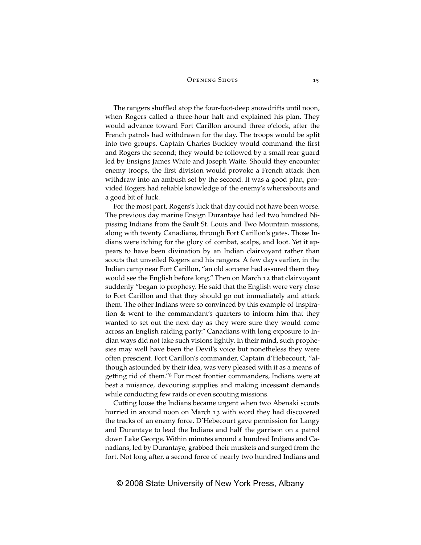The rangers shuffled atop the four-foot-deep snowdrifts until noon, when Rogers called a three-hour halt and explained his plan. They would advance toward Fort Carillon around three o'clock, after the French patrols had withdrawn for the day. The troops would be split into two groups. Captain Charles Buckley would command the first and Rogers the second; they would be followed by a small rear guard led by Ensigns James White and Joseph Waite. Should they encounter enemy troops, the first division would provoke a French attack then withdraw into an ambush set by the second. It was a good plan, provided Rogers had reliable knowledge of the enemy's whereabouts and a good bit of luck.

For the most part, Rogers's luck that day could not have been worse. The previous day marine Ensign Durantaye had led two hundred Nipissing Indians from the Sault St. Louis and Two Mountain missions, along with twenty Canadians, through Fort Carillon's gates. Those Indians were itching for the glory of combat, scalps, and loot. Yet it appears to have been divination by an Indian clairvoyant rather than scouts that unveiled Rogers and his rangers. A few days earlier, in the Indian camp near Fort Carillon, "an old sorcerer had assured them they would see the English before long." Then on March 12 that clairvoyant suddenly "began to prophesy. He said that the English were very close to Fort Carillon and that they should go out immediately and attack them. The other Indians were so convinced by this example of inspiration & went to the commandant's quarters to inform him that they wanted to set out the next day as they were sure they would come across an English raiding party." Canadians with long exposure to Indian ways did not take such visions lightly. In their mind, such prophesies may well have been the Devil's voice but nonetheless they were often prescient. Fort Carillon's commander, Captain d'Hebecourt, "although astounded by their idea, was very pleased with it as a means of getting rid of them."<sup>8</sup> For most frontier commanders, Indians were at best a nuisance, devouring supplies and making incessant demands while conducting few raids or even scouting missions.

Cutting loose the Indians became urgent when two Abenaki scouts hurried in around noon on March 13 with word they had discovered the tracks of an enemy force. D'Hebecourt gave permission for Langy and Durantaye to lead the Indians and half the garrison on a patrol down Lake George. Within minutes around a hundred Indians and Canadians, led by Durantaye, grabbed their muskets and surged from the fort. Not long after, a second force of nearly two hundred Indians and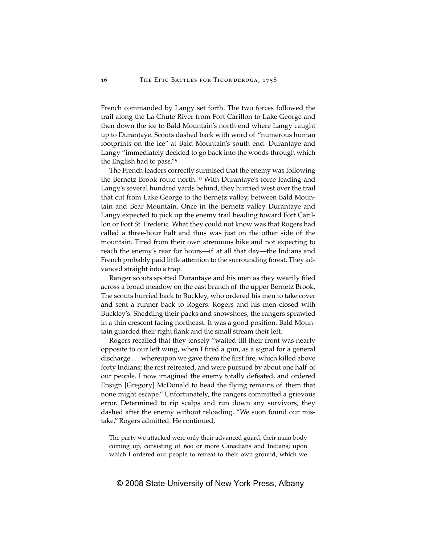French commanded by Langy set forth. The two forces followed the trail along the La Chute River from Fort Carillon to Lake George and then down the ice to Bald Mountain's north end where Langy caught up to Durantaye. Scouts dashed back with word of "numerous human footprints on the ice" at Bald Mountain's south end. Durantaye and Langy "immediately decided to go back into the woods through which the English had to pass."<sup>9</sup>

The French leaders correctly surmised that the enemy was following the Bernetz Brook route north.<sup>10</sup> With Durantaye's force leading and Langy's several hundred yards behind, they hurried west over the trail that cut from Lake George to the Bernetz valley, between Bald Mountain and Bear Mountain. Once in the Bernetz valley Durantaye and Langy expected to pick up the enemy trail heading toward Fort Carillon or Fort St. Frederic. What they could not know was that Rogers had called a three-hour halt and thus was just on the other side of the mountain. Tired from their own strenuous hike and not expecting to reach the enemy's rear for hours—if at all that day—the Indians and French probably paid little attention to the surrounding forest. They advanced straight into a trap.

Ranger scouts spotted Durantaye and his men as they wearily filed across a broad meadow on the east branch of the upper Bernetz Brook. The scouts hurried back to Buckley, who ordered his men to take cover and sent a runner back to Rogers. Rogers and his men closed with Buckley's. Shedding their packs and snowshoes, the rangers sprawled in a thin crescent facing northeast. It was a good position. Bald Mountain guarded their right flank and the small stream their left.

Rogers recalled that they tensely "waited till their front was nearly opposite to our left wing, when I fired a gun, as a signal for a general discharge . . . whereupon we gave them the first fire, which killed above forty Indians; the rest retreated, and were pursued by about one half of our people. I now imagined the enemy totally defeated, and ordered Ensign [Gregory] McDonald to head the flying remains of them that none might escape." Unfortunately, the rangers committed a grievous error. Determined to rip scalps and run down any survivors, they dashed after the enemy without reloading. "We soon found our mistake," Rogers admitted. He continued,

The party we attacked were only their advanced guard, their main body coming up, consisting of 600 or more Canadians and Indians; upon which I ordered our people to retreat to their own ground, which we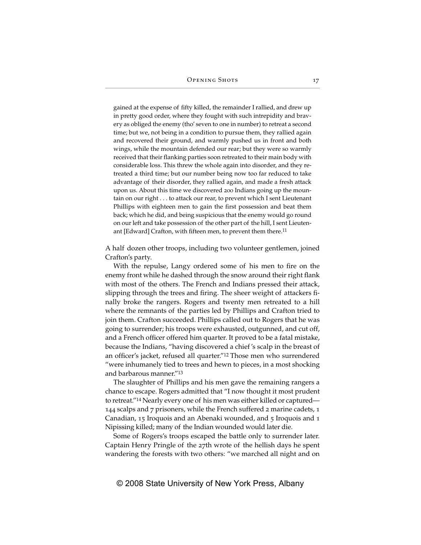gained at the expense of fifty killed, the remainder I rallied, and drew up in pretty good order, where they fought with such intrepidity and bravery as obliged the enemy (tho' seven to one in number) to retreat a second time; but we, not being in a condition to pursue them, they rallied again and recovered their ground, and warmly pushed us in front and both wings, while the mountain defended our rear; but they were so warmly received that their flanking parties soon retreated to their main body with considerable loss. This threw the whole again into disorder, and they retreated a third time; but our number being now too far reduced to take advantage of their disorder, they rallied again, and made a fresh attack upon us. About this time we discovered 200 Indians going up the mountain on our right . . . to attack our rear, to prevent which I sent Lieutenant Phillips with eighteen men to gain the first possession and beat them back; which he did, and being suspicious that the enemy would go round on our left and take possession of the other part of the hill, I sent Lieutenant [Edward] Crafton, with fifteen men, to prevent them there.<sup>11</sup>

A half dozen other troops, including two volunteer gentlemen, joined Crafton's party.

With the repulse, Langy ordered some of his men to fire on the enemy front while he dashed through the snow around their right flank with most of the others. The French and Indians pressed their attack, slipping through the trees and firing. The sheer weight of attackers finally broke the rangers. Rogers and twenty men retreated to a hill where the remnants of the parties led by Phillips and Crafton tried to join them. Crafton succeeded. Phillips called out to Rogers that he was going to surrender; his troops were exhausted, outgunned, and cut off, and a French officer offered him quarter. It proved to be a fatal mistake, because the Indians, "having discovered a chief 's scalp in the breast of an officer's jacket, refused all quarter."<sup>12</sup> Those men who surrendered "were inhumanely tied to trees and hewn to pieces, in a most shocking and barbarous manner."<sup>13</sup>

The slaughter of Phillips and his men gave the remaining rangers a chance to escape. Rogers admitted that "I now thought it most prudent to retreat."<sup>14</sup> Nearly every one of his men was either killed or captured— 144 scalps and 7 prisoners, while the French suffered 2 marine cadets, 1 Canadian, 15 Iroquois and an Abenaki wounded, and 5 Iroquois and 1 Nipissing killed; many of the Indian wounded would later die.

Some of Rogers's troops escaped the battle only to surrender later. Captain Henry Pringle of the 27th wrote of the hellish days he spent wandering the forests with two others: "we marched all night and on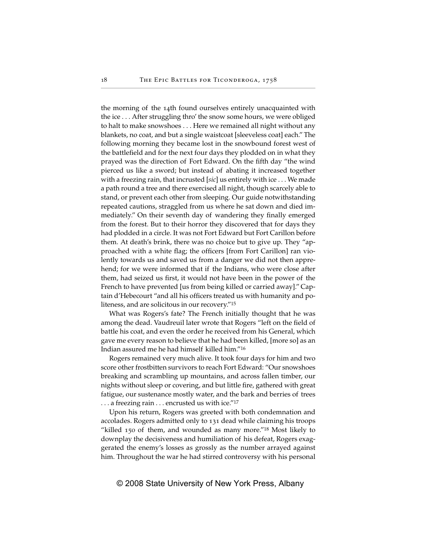the morning of the 14th found ourselves entirely unacquainted with the ice . . . After struggling thro' the snow some hours, we were obliged to halt to make snowshoes . . . Here we remained all night without any blankets, no coat, and but a single waistcoat [sleeveless coat] each." The following morning they became lost in the snowbound forest west of the battlefield and for the next four days they plodded on in what they prayed was the direction of Fort Edward. On the fifth day "the wind pierced us like a sword; but instead of abating it increased together with a freezing rain, that incrusted [*sic*] us entirely with ice . . . We made a path round a tree and there exercised all night, though scarcely able to stand, or prevent each other from sleeping. Our guide notwithstanding repeated cautions, straggled from us where he sat down and died immediately." On their seventh day of wandering they finally emerged from the forest. But to their horror they discovered that for days they had plodded in a circle. It was not Fort Edward but Fort Carillon before them. At death's brink, there was no choice but to give up. They "approached with a white flag; the officers [from Fort Carillon] ran violently towards us and saved us from a danger we did not then apprehend; for we were informed that if the Indians, who were close after them, had seized us first, it would not have been in the power of the French to have prevented [us from being killed or carried away]." Captain d'Hebecourt "and all his officers treated us with humanity and politeness, and are solicitous in our recovery."<sup>15</sup>

What was Rogers's fate? The French initially thought that he was among the dead. Vaudreuil later wrote that Rogers "left on the field of battle his coat, and even the order he received from his General, which gave me every reason to believe that he had been killed, [more so] as an Indian assured me he had himself killed him."<sup>16</sup>

Rogers remained very much alive. It took four days for him and two score other frostbitten survivors to reach Fort Edward: "Our snowshoes breaking and scrambling up mountains, and across fallen timber, our nights without sleep or covering, and but little fire, gathered with great fatigue, our sustenance mostly water, and the bark and berries of trees ... a freezing rain ... encrusted us with ice."<sup>17</sup>

Upon his return, Rogers was greeted with both condemnation and accolades. Rogers admitted only to 131 dead while claiming his troops "killed 150 of them, and wounded as many more."<sup>18</sup> Most likely to downplay the decisiveness and humiliation of his defeat, Rogers exaggerated the enemy's losses as grossly as the number arrayed against him. Throughout the war he had stirred controversy with his personal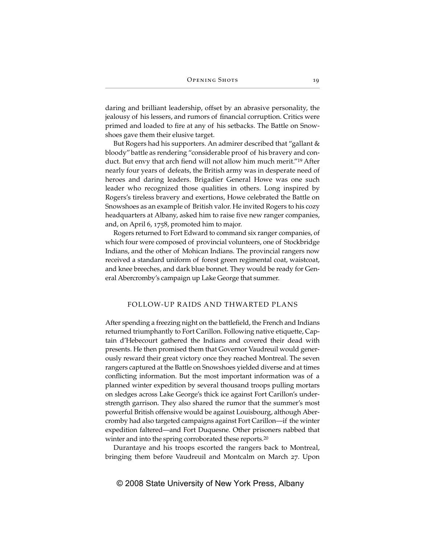daring and brilliant leadership, offset by an abrasive personality, the jealousy of his lessers, and rumors of financial corruption. Critics were primed and loaded to fire at any of his setbacks. The Battle on Snowshoes gave them their elusive target.

But Rogers had his supporters. An admirer described that "gallant & bloody" battle as rendering "considerable proof of his bravery and conduct. But envy that arch fiend will not allow him much merit."<sup>19</sup> After nearly four years of defeats, the British army was in desperate need of heroes and daring leaders. Brigadier General Howe was one such leader who recognized those qualities in others. Long inspired by Rogers's tireless bravery and exertions, Howe celebrated the Battle on Snowshoes as an example of British valor. He invited Rogers to his cozy headquarters at Albany, asked him to raise five new ranger companies, and, on April 6, 1758, promoted him to major.

Rogers returned to Fort Edward to command six ranger companies, of which four were composed of provincial volunteers, one of Stockbridge Indians, and the other of Mohican Indians. The provincial rangers now received a standard uniform of forest green regimental coat, waistcoat, and knee breeches, and dark blue bonnet. They would be ready for General Abercromby's campaign up Lake George that summer.

## FOLLOW-UP RAIDS AND THWARTED PLANS

After spending a freezing night on the battlefield, the French and Indians returned triumphantly to Fort Carillon. Following native etiquette, Captain d'Hebecourt gathered the Indians and covered their dead with presents. He then promised them that Governor Vaudreuil would generously reward their great victory once they reached Montreal. The seven rangers captured at the Battle on Snowshoes yielded diverse and at times conflicting information. But the most important information was of a planned winter expedition by several thousand troops pulling mortars on sledges across Lake George's thick ice against Fort Carillon's understrength garrison. They also shared the rumor that the summer's most powerful British offensive would be against Louisbourg, although Abercromby had also targeted campaigns against Fort Carillon—if the winter expedition faltered—and Fort Duquesne. Other prisoners nabbed that winter and into the spring corroborated these reports.<sup>20</sup>

Durantaye and his troops escorted the rangers back to Montreal, bringing them before Vaudreuil and Montcalm on March 27. Upon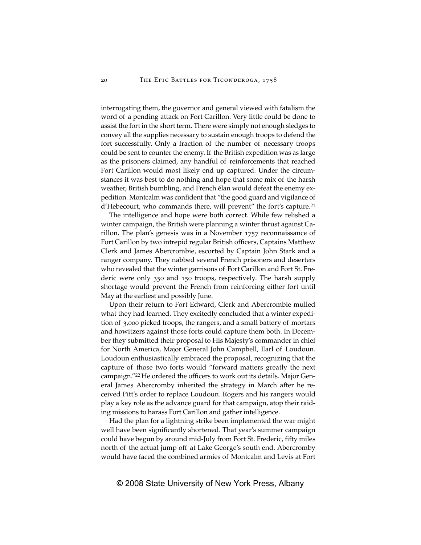interrogating them, the governor and general viewed with fatalism the word of a pending attack on Fort Carillon. Very little could be done to assist the fort in the short term. There were simply not enough sledges to convey all the supplies necessary to sustain enough troops to defend the fort successfully. Only a fraction of the number of necessary troops could be sent to counter the enemy. If the British expedition was as large as the prisoners claimed, any handful of reinforcements that reached Fort Carillon would most likely end up captured. Under the circumstances it was best to do nothing and hope that some mix of the harsh weather, British bumbling, and French élan would defeat the enemy expedition. Montcalm was confident that "the good guard and vigilance of d'Hebecourt, who commands there, will prevent" the fort's capture.<sup>21</sup>

The intelligence and hope were both correct. While few relished a winter campaign, the British were planning a winter thrust against Carillon. The plan's genesis was in a November 1757 reconnaissance of Fort Carillon by two intrepid regular British officers, Captains Matthew Clerk and James Abercrombie, escorted by Captain John Stark and a ranger company. They nabbed several French prisoners and deserters who revealed that the winter garrisons of Fort Carillon and Fort St. Frederic were only 350 and 150 troops, respectively. The harsh supply shortage would prevent the French from reinforcing either fort until May at the earliest and possibly June.

Upon their return to Fort Edward, Clerk and Abercrombie mulled what they had learned. They excitedly concluded that a winter expedition of 3,000 picked troops, the rangers, and a small battery of mortars and howitzers against those forts could capture them both. In December they submitted their proposal to His Majesty's commander in chief for North America, Major General John Campbell, Earl of Loudoun. Loudoun enthusiastically embraced the proposal, recognizing that the capture of those two forts would "forward matters greatly the next campaign."<sup>22</sup> He ordered the officers to work out its details. Major General James Abercromby inherited the strategy in March after he received Pitt's order to replace Loudoun. Rogers and his rangers would play a key role as the advance guard for that campaign, atop their raiding missions to harass Fort Carillon and gather intelligence.

Had the plan for a lightning strike been implemented the war might well have been significantly shortened. That year's summer campaign could have begun by around mid-July from Fort St. Frederic, fifty miles north of the actual jump off at Lake George's south end. Abercromby would have faced the combined armies of Montcalm and Levis at Fort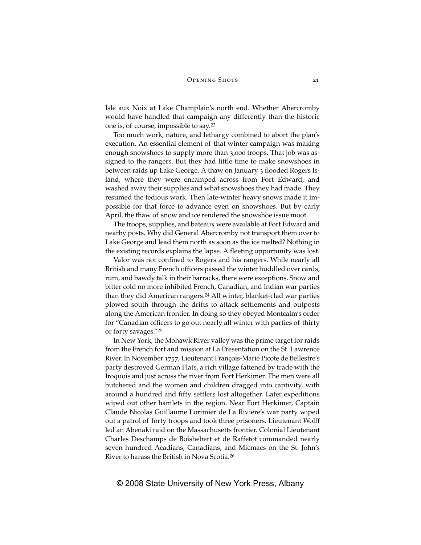Isle aux Noix at Lake Champlain's north end. Whether Abercromby would have handled that campaign any differently than the historic one is, of course, impossible to say.<sup>23</sup>

Too much work, nature, and lethargy combined to abort the plan's execution. An essential element of that winter campaign was making enough snowshoes to supply more than 3,000 troops. That job was assigned to the rangers. But they had little time to make snowshoes in between raids up Lake George. A thaw on January 3 flooded Rogers Island, where they were encamped across from Fort Edward, and washed away their supplies and what snowshoes they had made. They resumed the tedious work. Then late-winter heavy snows made it impossible for that force to advance even on snowshoes. But by early April, the thaw of snow and ice rendered the snowshoe issue moot.

The troops, supplies, and bateaux were available at Fort Edward and nearby posts. Why did General Abercromby not transport them over to Lake George and lead them north as soon as the ice melted? Nothing in the existing records explains the lapse. A fleeting opportunity was lost.

Valor was not confined to Rogers and his rangers. While nearly all British and many French officers passed the winter huddled over cards, rum, and bawdy talk in their barracks, there were exceptions. Snow and bitter cold no more inhibited French, Canadian, and Indian war parties than they did American rangers.<sup>24</sup> All winter, blanket-clad war parties plowed south through the drifts to attack settlements and outposts along the American frontier. In doing so they obeyed Montcalm's order for "Canadian officers to go out nearly all winter with parties of thirty or forty savages."<sup>25</sup>

In New York, the Mohawk River valley was the prime target for raids from the French fort and mission at La Presentation on the St. Lawrence River. In November 1757, Lieutenant François-Marie Picote de Bellestre's party destroyed German Flats, a rich village fattened by trade with the Iroquois and just across the river from Fort Herkimer. The men were all butchered and the women and children dragged into captivity, with around a hundred and fifty settlers lost altogether. Later expeditions wiped out other hamlets in the region. Near Fort Herkimer, Captain Claude Nicolas Guillaume Lorimier de La Riviere's war party wiped out a patrol of forty troops and took three prisoners. Lieutenant Wolff led an Abenaki raid on the Massachusetts frontier. Colonial Lieutenant Charles Deschamps de Boishebert et de Raffetot commanded nearly seven hundred Acadians, Canadians, and Micmacs on the St. John's River to harass the British in Nova Scotia.<sup>26</sup>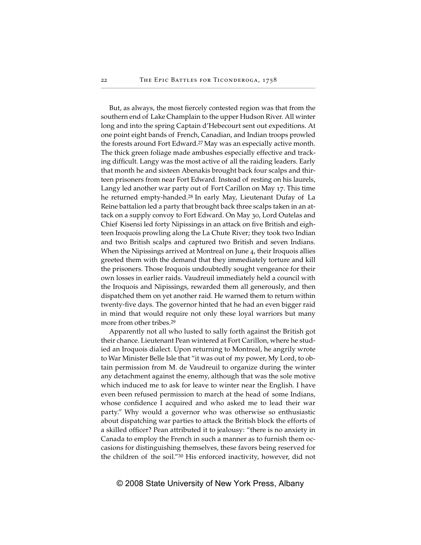But, as always, the most fiercely contested region was that from the southern end of Lake Champlain to the upper Hudson River. All winter long and into the spring Captain d'Hebecourt sent out expeditions. At one point eight bands of French, Canadian, and Indian troops prowled the forests around Fort Edward.<sup>27</sup> May was an especially active month. The thick green foliage made ambushes especially effective and tracking difficult. Langy was the most active of all the raiding leaders. Early that month he and sixteen Abenakis brought back four scalps and thirteen prisoners from near Fort Edward. Instead of resting on his laurels, Langy led another war party out of Fort Carillon on May 17. This time he returned empty-handed.<sup>28</sup> In early May, Lieutenant Dufay of La Reine battalion led a party that brought back three scalps taken in an attack on a supply convoy to Fort Edward. On May 30, Lord Outelas and Chief Kisensi led forty Nipissings in an attack on five British and eighteen Iroquois prowling along the La Chute River; they took two Indian and two British scalps and captured two British and seven Indians. When the Nipissings arrived at Montreal on June 4, their Iroquois allies greeted them with the demand that they immediately torture and kill the prisoners. Those Iroquois undoubtedly sought vengeance for their own losses in earlier raids. Vaudreuil immediately held a council with the Iroquois and Nipissings, rewarded them all generously, and then dispatched them on yet another raid. He warned them to return within twenty-five days. The governor hinted that he had an even bigger raid in mind that would require not only these loyal warriors but many more from other tribes.<sup>29</sup>

Apparently not all who lusted to sally forth against the British got their chance. Lieutenant Pean wintered at Fort Carillon, where he studied an Iroquois dialect. Upon returning to Montreal, he angrily wrote to War Minister Belle Isle that "it was out of my power, My Lord, to obtain permission from M. de Vaudreuil to organize during the winter any detachment against the enemy, although that was the sole motive which induced me to ask for leave to winter near the English. I have even been refused permission to march at the head of some Indians, whose confidence I acquired and who asked me to lead their war party." Why would a governor who was otherwise so enthusiastic about dispatching war parties to attack the British block the efforts of a skilled officer? Pean attributed it to jealousy: "there is no anxiety in Canada to employ the French in such a manner as to furnish them occasions for distinguishing themselves, these favors being reserved for the children of the soil."<sup>30</sup> His enforced inactivity, however, did not

# © 2008 State University of New York Press, Albany